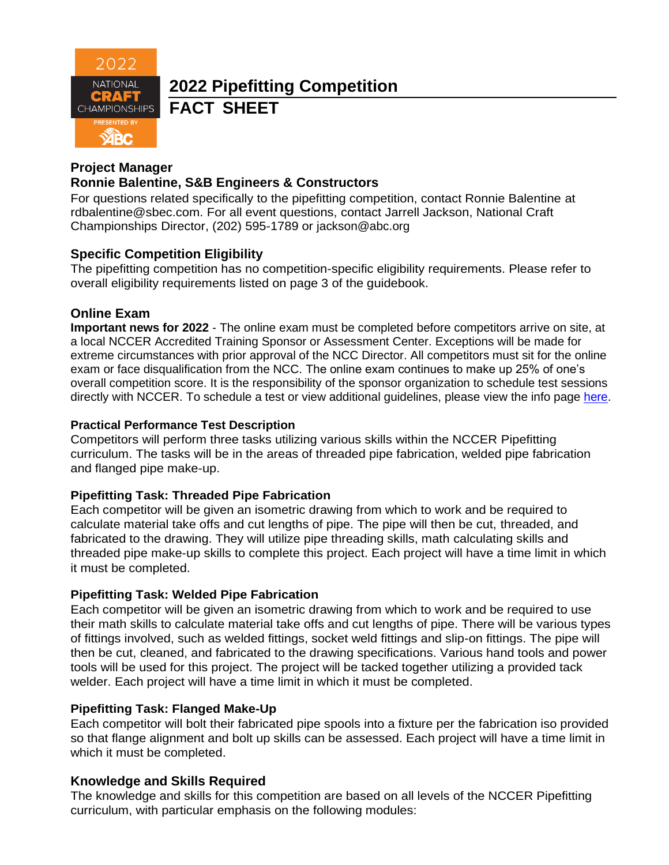

# **2022 Pipefitting Competition FACT SHEET**

#### **Project Manager**

# **Ronnie Balentine, S&B Engineers & Constructors**

For questions related specifically to the pipefitting competition, contact Ronnie Balentine at [rdbalentine@sbec.com.](mailto:rdbalentine@sbec.com) For all event questions, contact Jarrell Jackson, National Craft Championships Director, (202) 595-1789 or jackson@abc.org

## **Specific Competition Eligibility**

The pipefitting competition has no competition-specific eligibility requirements. Please refer to overall eligibility requirements listed on page 3 of the guidebook.

#### **Online Exam**

**Important news for 2022** - The online exam must be completed before competitors arrive on site, at a local NCCER Accredited Training Sponsor or Assessment Center. Exceptions will be made for extreme circumstances with prior approval of the NCC Director. All competitors must sit for the online exam or face disqualification from the NCC. The online exam continues to make up 25% of one's overall competition score. It is the responsibility of the sponsor organization to schedule test sessions directly with NCCER. To schedule a test or view additional guidelines, please view the info page [here.](https://abc.org/Portals/1/NCC/National%20Craft%20Championship%20Testing%20Overview%20and%20Registration.pdf?ver=2022-01-31-154655-600)

#### **Practical Performance Test Description**

Competitors will perform three tasks utilizing various skills within the NCCER Pipefitting curriculum. The tasks will be in the areas of threaded pipe fabrication, welded pipe fabrication and flanged pipe make-up.

#### **Pipefitting Task: Threaded Pipe Fabrication**

Each competitor will be given an isometric drawing from which to work and be required to calculate material take offs and cut lengths of pipe. The pipe will then be cut, threaded, and fabricated to the drawing. They will utilize pipe threading skills, math calculating skills and threaded pipe make-up skills to complete this project. Each project will have a time limit in which it must be completed.

#### **Pipefitting Task: Welded Pipe Fabrication**

Each competitor will be given an isometric drawing from which to work and be required to use their math skills to calculate material take offs and cut lengths of pipe. There will be various types of fittings involved, such as welded fittings, socket weld fittings and slip-on fittings. The pipe will then be cut, cleaned, and fabricated to the drawing specifications. Various hand tools and power tools will be used for this project. The project will be tacked together utilizing a provided tack welder. Each project will have a time limit in which it must be completed.

#### **Pipefitting Task: Flanged Make-Up**

Each competitor will bolt their fabricated pipe spools into a fixture per the fabrication iso provided so that flange alignment and bolt up skills can be assessed. Each project will have a time limit in which it must be completed.

#### **Knowledge and Skills Required**

The knowledge and skills for this competition are based on all levels of the NCCER Pipefitting curriculum, with particular emphasis on the following modules: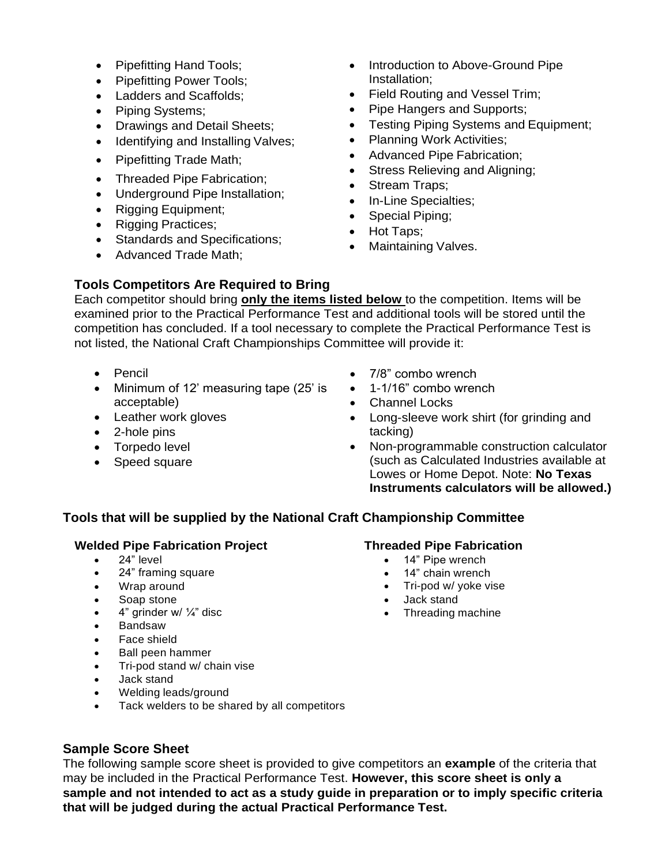- Pipefitting Hand Tools;
- Pipefitting Power Tools;
- Ladders and Scaffolds;
- Piping Systems;
- Drawings and Detail Sheets;
- Identifying and Installing Valves;
- Pipefitting Trade Math;
- Threaded Pipe Fabrication;
- Underground Pipe Installation;
- Rigging Equipment;
- Rigging Practices;
- Standards and Specifications;
- Advanced Trade Math;
- Introduction to Above-Ground Pipe Installation;
- Field Routing and Vessel Trim;
- Pipe Hangers and Supports;
- Testing Piping Systems and Equipment;
- Planning Work Activities;
- Advanced Pipe Fabrication;
- Stress Relieving and Aligning;
- Stream Traps;
- In-Line Specialties;
- Special Piping;
- Hot Taps;
- Maintaining Valves.

#### **Tools Competitors Are Required to Bring**

Each competitor should bring **only the items listed below** to the competition. Items will be examined prior to the Practical Performance Test and additional tools will be stored until the competition has concluded. If a tool necessary to complete the Practical Performance Test is not listed, the National Craft Championships Committee will provide it:

- Pencil
- Minimum of 12' measuring tape (25' is acceptable)
- Leather work gloves
- 2-hole pins
- Torpedo level
- Speed square
- 7/8" combo wrench
- 1-1/16" combo wrench
- Channel Locks
- Long-sleeve work shirt (for grinding and tacking)
- Non-programmable construction calculator (such as Calculated Industries available at Lowes or Home Depot. Note: **No Texas Instruments calculators will be allowed.)**

#### **Tools that will be supplied by the National Craft Championship Committee**

#### **Welded Pipe Fabrication Project**

- 24" level
- 24" framing square
- Wrap around
- Soap stone
- 4" grinder w/  $\frac{1}{4}$ " disc
- Bandsaw
- Face shield
- Ball peen hammer
- Tri-pod stand w/ chain vise
- Jack stand
- Welding leads/ground
- Tack welders to be shared by all competitors

#### **Sample Score Sheet**

The following sample score sheet is provided to give competitors an **example** of the criteria that may be included in the Practical Performance Test. **However, this score sheet is only a sample and not intended to act as a study guide in preparation or to imply specific criteria that will be judged during the actual Practical Performance Test.**

## **Threaded Pipe Fabrication**

- 14" Pipe wrench
- 14" chain wrench
- Tri-pod w/ yoke vise
- Jack stand
- Threading machine